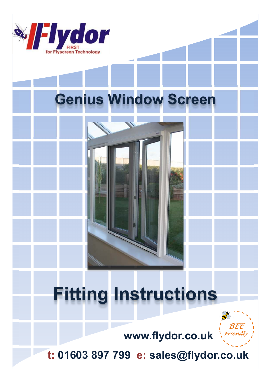

## **Genius Window Screen**

# **Fitting Instructions**



**www.flydor.co.uk**

**t: 01603 897 799 e: sales@flydor.co.uk**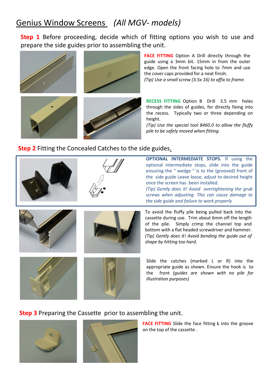### Genius Window Screens *(All MGV- models)*

**Step 1** Before proceeding, decide which of fitting options you wish to use and prepare the side guides prior to assembling the unit.



**FACE FITTING** Option A Drill directly through the guide using a 3mm bit. 15mm in from the outer edge. Open the front facing hole to 7mm and use the cover caps provided for a neat finish. *(Tip) Use a small screw (3.5x 16) to affix to frame.*

**RECESS FITTING** Option B Drill 3.5 mm holes through the sides of guides, for directly fixing into the recess. Typically two or three depending on height.

*(Tip) Use the special tool 8460.0 to allow the fluffy pile to be safely moved when fitting.*

#### **Step 2** Fitting the Concealed Catches to the side guides.





**OPTIONAL INTERMEDIATE STOPS.** If using the optional intermediate stops, slide into the guide ensuring the " wedge " is to the (grooved) front of the side guide Leave loose, adjust to desired height once the screen has been installed.

*(Tip) Gently does it! Avoid overtightening the grub screws when adjusting. This can cause damage to the side guide and failure to work properly*







To avoid the fluffy pile being pulled back into the cassette during use. Trim about 6mm off the length of the pile. Simply crimp the channel top and bottom with a flat headed screwdriver and hammer. *(Tip) Gently does it! Avoid bending the guide out of shape by hitting too hard.*

Slide the catches (marked L or R) into the appropriate guide as shown. Ensure the hook is to the front *(guides are shown with no pile for illustration purposes)*

#### **Step 3** Preparing the Cassette prior to assembling the unit.



**FACE FITTING** Slide the face fitting **L** into the groove on the top of the cassette .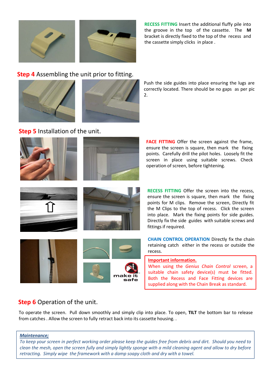

**RECESS FITTING** Insert the additional fluffy pile into the groove in the top of the cassette. The **M** bracket is directly fixed to the top of the recess and the cassette simply clicks in place .

#### **Step 4** Assembling the unit prior to fitting.





Push the side guides into place ensuring the lugs are correctly located. There should be no gaps as per pic 2.

#### **Step 5** Installation of the unit.



**FACE FITTING** Offer the screen against the frame, ensure the screen is square, then mark the fixing points. Carefully drill the pilot holes. Loosely fit the screen in place using suitable screws. Check operation of screen, before tightening.





ensure the screen is square, then mark the fixing points for M clips. Remove the screen, Directly fit the M Clips to the top of recess. Click the screen into place. Mark the fixing points for side guides. Directly fix the side guides with suitable screws and fittings if required.

**RECESS FITTING** Offer the screen into the recess,

**CHAIN CONTROL OPERATION** Directly fix the chain retaining catch either in the recess or outside the recess.

**Important information.**

When using the *Genius Chain Control* screen, a suitable chain safety device(s) must be fitted. Both the Recess and Face Fitting devices are supplied along with the Chain Break as standard.

### **Step 6 Operation of the unit.**

To operate the screen. Pull down smoothly and simply clip into place. To open, **TILT** the bottom bar to release from catches . Allow the screen to fully retract back into its cassette housing. .

#### *Maintenance;*

*To keep your screen in perfect working order please keep the guides free from debris and dirt. Should you need to clean the mesh, open the screen fully and simply lightly sponge with a mild cleaning agent and allow to dry before retracting. Simply wipe the framework with a damp soapy cloth and dry with a towel.*